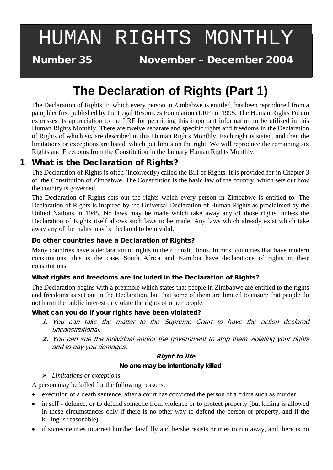# HUMAN RIGHTS MONTHLY

**Number 35** 

November – December 2004

# **The Declaration of Rights (Part 1)**

The Declaration of Rights, to which every person in Zimbabwe is entitled, has been reproduced from a pamphlet first published by the Legal Resources Foundation (LRF) in 1995. The Human Rights Forum expresses its appreciation to the LRF for permitting this important information to be utilised in this Human Rights Monthly. There are twelve separate and specific rights and freedoms in the Declaration of Rights of which six are described in this Human Rights Monthly. Each right is stated, and then the limitations or exceptions are listed, which put limits on the right. We will reproduce the remaining six Rights and Freedoms from the Constitution in the January Human Rights Monthly.

## 1 What is the Declaration of Rights?

The Declaration of Rights is often (incorrectly) called the Bill of Rights. It is provided for in Chapter 3 of the Constitution of Zimbabwe. The Constitution is the basic law of the country, which sets out how the country is governed.

The Declaration of Rights sets out the rights which every person in Zimbabwe is entitled to. The Declaration of Rights is inspired by the Universal Declaration of Human Rights as proclaimed by the United Nations in 1948. No laws may be made which take away any of those rights, unless the Declaration of Rights itself allows such laws to be made. Any laws which already exist which take away any of the rights may be declared to be invalid.

#### Do other countries have a Declaration of Rights?

Many countries have a declaration of rights in their constitutions. In most countries that have modern constitutions, this is the case. South Africa and Namibia have declarations of rights in their constitutions.

#### What rights and freedoms are included in the Declaration of Rights?

The Declaration begins with a preamble which states that people in Zimbabwe are entitled to the rights and freedoms as set out in the Declaration, but that some of them are limited to ensure that people do not harm the public interest or violate the rights of other people.

#### What can you do if your rights have been violated?

- 1. You can take the matter to the Supreme Court to have the action declared unconstitutional.
- 2. You can sue the individual and/or the government to stop them violating your rights and to pay you damages.

#### Right to life

#### **No one may be intentionally killed**

#### *Limitations or exceptions*

A person may be killed for the following reasons.

- execution of a death sentence, after a court has convicted the person of a crime such as murder
- in self defence, or to defend someone from violence or to protect property (but killing is allowed in these circumstances only if there is no other way to defend the person or property, and if the killing is reasonable)
- if someone tries to arrest him/her lawfully and he/she resists or tries to run away, and there is no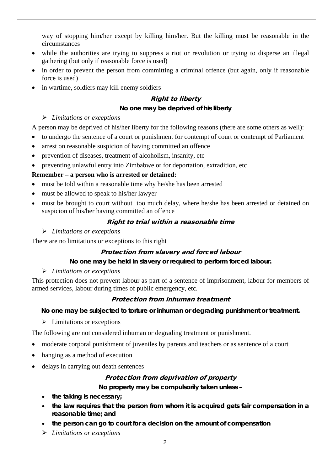way of stopping him/her except by killing him/her. But the killing must be reasonable in the circumstances

- while the authorities are trying to suppress a riot or revolution or trying to disperse an illegal gathering (but only if reasonable force is used)
- in order to prevent the person from committing a criminal offence (but again, only if reasonable force is used)
- in wartime, soldiers may kill enemy soldiers

#### Right to liberty

#### **No one may be deprived of his liberty**

#### *Limitations or exceptions*

A person may be deprived of his/her liberty for the following reasons (there are some others as well):

- to undergo the sentence of a court or punishment for contempt of court or contempt of Parliament
- arrest on reasonable suspicion of having committed an offence
- prevention of diseases, treatment of alcoholism, insanity, etc
- preventing unlawful entry into Zimbabwe or for deportation, extradition, etc

#### **Remember – a person who is arrested or detained:**

- must be told within a reasonable time why he/she has been arrested
- must be allowed to speak to his/her lawyer
- must be brought to court without too much delay, where he/she has been arrested or detained on suspicion of his/her having committed an offence

#### Right to trial within a reasonable time

#### *Limitations or exceptions*

There are no limitations or exceptions to this right

#### Protection from slavery and forced labour

#### **No one may be held in slavery or required to perform forced labour.**

#### *Limitations or exceptions*

This protection does not prevent labour as part of a sentence of imprisonment, labour for members of armed services, labour during times of public emergency, etc.

#### Protection from inhuman treatment

#### **No one may be subjected to torture or inhuman or degrading punishment or treatment.**

 $\triangleright$  Limitations or exceptions

The following are not considered inhuman or degrading treatment or punishment.

- moderate corporal punishment of juveniles by parents and teachers or as sentence of a court
- hanging as a method of execution
- delays in carrying out death sentences

#### Protection from deprivation of property

**No property may be compulsorily taken unless –**

- **the taking is necessary;**
- **the law requires that the person from whom it is acquired gets fair compensation in a reasonable time; and**
- **the person can go to court for a decision on the amount of compensation**
- *Limitations or exceptions*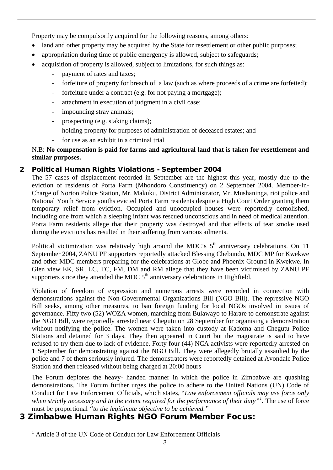Property may be compulsorily acquired for the following reasons, among others:

- land and other property may be acquired by the State for resettlement or other public purposes;
- appropriation during time of public emergency is allowed, subject to safeguards;
- acquisition of property is allowed, subject to limitations, for such things as:
	- payment of rates and taxes;
	- forfeiture of property for breach of a law (such as where proceeds of a crime are forfeited);
	- forfeiture under a contract (e.g. for not paying a mortgage);
	- attachment in execution of judgment in a civil case;
	- impounding stray animals;
	- prospecting (e.g. staking claims);
	- holding property for purposes of administration of deceased estates; and
	- for use as an exhibit in a criminal trial

N.B: **No compensation is paid for farms and agricultural land that is taken for resettlement and similar purposes.**

### 2 Political Human Rights Violations - September 2004

The 57 cases of displacement recorded in September are the highest this year, mostly due to the eviction of residents of Porta Farm (Mhondoro Constituency) on 2 September 2004. Member-In-Charge of Norton Police Station, Mr. Makuku, District Administrator, Mr. Mushaninga, riot police and National Youth Service youths evicted Porta Farm residents despite a High Court Order granting them temporary relief from eviction. Occupied and unoccupied houses were reportedly demolished, including one from which a sleeping infant was rescued unconscious and in need of medical attention. Porta Farm residents allege that their property was destroyed and that effects of tear smoke used during the evictions has resulted in their suffering from various ailments.

Political victimization was relatively high around the MDC's  $5<sup>th</sup>$  anniversary celebrations. On 11 September 2004, ZANU PF supporters reportedly attacked Blessing Chebundo, MDC MP for Kwekwe and other MDC members preparing for the celebrations at Globe and Phoenix Ground in Kwekwe. In Glen view EK, SR, LC, TC, FM, DM and RM allege that they have been victimised by ZANU PF supporters since they attended the MDC  $5<sup>th</sup>$  anniversary celebrations in Highfield.

Violation of freedom of expression and numerous arrests were recorded in connection with demonstrations against the Non-Governmental Organizations Bill (NGO Bill). The repressive NGO Bill seeks, among other measures, to ban foreign funding for local NGOs involved in issues of governance. Fifty two (52) WOZA women, marching from Bulawayo to Harare to demonstrate against the NGO Bill, were reportedly arrested near Chegutu on 28 September for organising a demonstration without notifying the police. The women were taken into custody at Kadoma and Chegutu Police Stations and detained for 3 days. They then appeared in Court but the magistrate is said to have refused to try them due to lack of evidence. Forty four (44) NCA activists were reportedly arrested on 1 September for demonstrating against the NGO Bill. They were allegedly brutally assaulted by the police and 7 of them seriously injured. The demonstrators were reportedly detained at Avondale Police Station and then released without being charged at 20:00 hours

The Forum deplores the heavy- handed manner in which the police in Zimbabwe are quashing demonstrations. The Forum further urges the police to adhere to the United Nations (UN) Code of Conduct for Law Enforcement Officials, which states, "*Law enforcement officials may use force only when strictly necessary and to the extent required for the performance of their duty"[1](#page-2-0) .* The use of force must be proportional *"to the legitimate objective to be achieved."*

# <span id="page-2-0"></span>3 Zimbabwe Human Rights NGO Forum Member Focus:

 <sup>1</sup> Article 3 of the UN Code of Conduct for Law Enforcement Officials